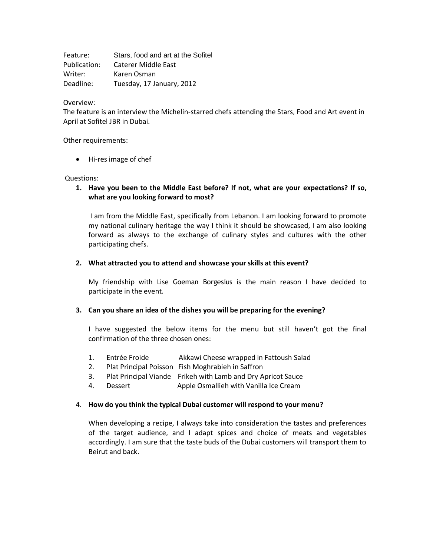Feature: Stars, food and art at the Sofitel Publication: Caterer Middle East Writer: Karen Osman Deadline: Tuesday, 17 January, 2012

## Overview:

The feature is an interview the Michelin-starred chefs attending the Stars, Food and Art event in April at Sofitel JBR in Dubai.

#### Other requirements:

• Hi-res image of chef

## Questions:

# **1. Have you been to the Middle East before? If not, what are your expectations? If so, what are you looking forward to most?**

I am from the Middle East, specifically from Lebanon. I am looking forward to promote my national culinary heritage the way I think it should be showcased, I am also looking forward as always to the exchange of culinary styles and cultures with the other participating chefs.

## **2. What attracted you to attend and showcase your skills at this event?**

My friendship with Lise Goeman Borgesius is the main reason I have decided to participate in the event.

## **3. Can you share an idea of the dishes you will be preparing for the evening?**

I have suggested the below items for the menu but still haven't got the final confirmation of the three chosen ones:

- 1. Entrée Froide Akkawi Cheese wrapped in Fattoush Salad
- 2. Plat Principal Poisson Fish Moghrabieh in Saffron
- 3. Plat Principal Viande Frikeh with Lamb and Dry Apricot Sauce
- 4. Dessert Apple Osmallieh with Vanilla Ice Cream

## 4. **How do you think the typical Dubai customer will respond to your menu?**

When developing a recipe, I always take into consideration the tastes and preferences of the target audience, and I adapt spices and choice of meats and vegetables accordingly. I am sure that the taste buds of the Dubai customers will transport them to Beirut and back.